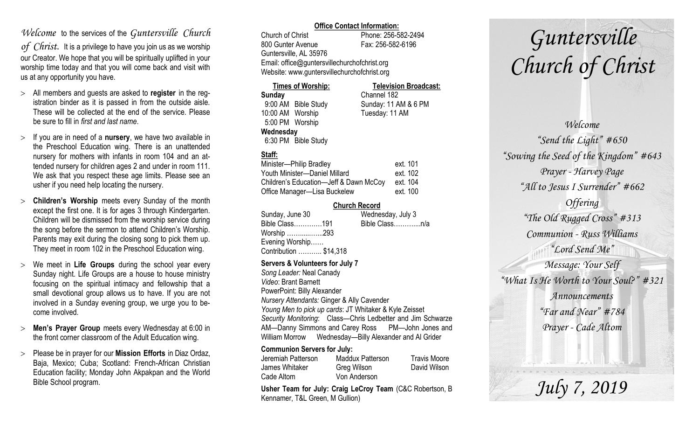# *Welcome* to the services of the *Guntersville Church*

*of Christ*. It is a privilege to have you join us as we worship our Creator. We hope that you will be spiritually uplifted in your worship time today and that you will come back and visit with us at any opportunity you have.

- All members and guests are asked to **register** in the registration binder as it is passed in from the outside aisle. These will be collected at the end of the service. Please be sure to fill in *first and last name*.
- $>$  If you are in need of a **nursery**, we have two available in the Preschool Education wing. There is an unattended nursery for mothers with infants in room 104 and an attended nursery for children ages 2 and under in room 111. We ask that you respect these age limits. Please see an usher if you need help locating the nursery.
- **Children's Worship** meets every Sunday of the month except the first one. It is for ages 3 through Kindergarten. Children will be dismissed from the worship service during the song before the sermon to attend Children's Worship. Parents may exit during the closing song to pick them up. They meet in room 102 in the Preschool Education wing.
- We meet in **Life Groups** during the school year every Sunday night. Life Groups are a house to house ministry focusing on the spiritual intimacy and fellowship that a small devotional group allows us to have. If you are not involved in a Sunday evening group, we urge you to become involved.
- **Men's Prayer Group** meets every Wednesday at 6:00 in the front corner classroom of the Adult Education wing.
- Please be in prayer for our **Mission Efforts** in Diaz Ordaz, Baja, Mexico; Cuba; Scotland: French-African Christian Education facility; Monday John Akpakpan and the World Bible School program.

### **Office Contact Information:**

Church of Christ Phone: 256-582-2494 800 Gunter Avenue Fax: 256-582-6196 Guntersville, AL 35976 Email: office@guntersvillechurchofchrist.org Website: www.guntersvillechurchofchrist.org

| <b>Times of Worship:</b> |                     | <b>Television Broadcast:</b> |  |
|--------------------------|---------------------|------------------------------|--|
| Sunday                   |                     | Channel 182                  |  |
|                          | 9:00 AM Bible Study | Sunday: 11 AM & 6 PM         |  |
| 10:00 AM Worship         |                     | Tuesday: 11 AM               |  |
| 5:00 PM Worship          |                     |                              |  |
| Wednesday                |                     |                              |  |
|                          | 6:30 PM Bible Study |                              |  |

# **Staff:**

| Minister-Philip Bradley                | ext. 101 |
|----------------------------------------|----------|
| Youth Minister-Daniel Millard          | ext. 102 |
| Children's Education-Jeff & Dawn McCoy | ext. 104 |
| Office Manager-Lisa Buckelew           | ext. 100 |

## **Church Record**

| Sunday, June 30        | Wednesday, July 3 |
|------------------------|-------------------|
| Bible Class191         | Bible Classn/a    |
| Worship 293            |                   |
| Evening Worship        |                   |
| Contribution  \$14,318 |                   |

#### **Servers & Volunteers for July 7**

*Song Leader:* Neal Canady *Video*: Brant Barnett PowerPoint: Billy Alexander *Nursery Attendants:* Ginger & Ally Cavender *Young Men to pick up cards*: JT Whitaker & Kyle Zeisset *Security Monitoring*: Class—Chris Ledbetter and Jim Schwarze AM—Danny Simmons and Carey Ross PM—John Jones and William Morrow Wednesday—Billy Alexander and Al Grider

## **Communion Servers for July:**

| Jeremiah Patterson | <b>Maddux Patterson</b> | <b>Travis Moore</b> |
|--------------------|-------------------------|---------------------|
| James Whitaker     | Greg Wilson             | David Wilson        |
| Cade Altom         | Von Anderson            |                     |

**Usher Team for July: Craig LeCroy Team** (C&C Robertson, B Kennamer, T&L Green, M Gullion)

# *Guntersville Church of Christ*

*Welcome "Send the Light" #650 "Sowing the Seed of the Kingdom" #643 Prayer - Harvey Page "All to Jesus I Surrender" #662 Offering "The Old Rugged Cross" #313 Communion - Russ Williams "Lord Send Me" Message: Your Self "What Is He Worth to Your Soul?" #321 Announcements "Far and Near" #784 Prayer - Cade Altom*

*July 7, 2019*